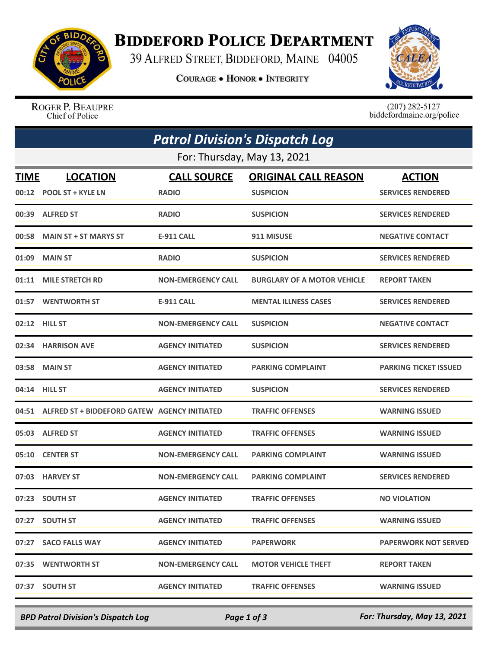

## **BIDDEFORD POLICE DEPARTMENT**

39 ALFRED STREET, BIDDEFORD, MAINE 04005

**COURAGE . HONOR . INTEGRITY** 



ROGER P. BEAUPRE Chief of Police

 $(207)$  282-5127<br>biddefordmaine.org/police

| <b>Patrol Division's Dispatch Log</b><br>For: Thursday, May 13, 2021 |                                                    |                           |                                    |                              |  |  |  |
|----------------------------------------------------------------------|----------------------------------------------------|---------------------------|------------------------------------|------------------------------|--|--|--|
|                                                                      |                                                    |                           |                                    |                              |  |  |  |
|                                                                      | 00:39 ALFRED ST                                    | <b>RADIO</b>              | <b>SUSPICION</b>                   | <b>SERVICES RENDERED</b>     |  |  |  |
| 00:58                                                                | <b>MAIN ST + ST MARYS ST</b>                       | <b>E-911 CALL</b>         | 911 MISUSE                         | <b>NEGATIVE CONTACT</b>      |  |  |  |
| 01:09                                                                | <b>MAIN ST</b>                                     | <b>RADIO</b>              | <b>SUSPICION</b>                   | <b>SERVICES RENDERED</b>     |  |  |  |
| 01:11                                                                | <b>MILE STRETCH RD</b>                             | <b>NON-EMERGENCY CALL</b> | <b>BURGLARY OF A MOTOR VEHICLE</b> | <b>REPORT TAKEN</b>          |  |  |  |
|                                                                      | 01:57 WENTWORTH ST                                 | <b>E-911 CALL</b>         | <b>MENTAL ILLNESS CASES</b>        | <b>SERVICES RENDERED</b>     |  |  |  |
|                                                                      | 02:12 HILL ST                                      | <b>NON-EMERGENCY CALL</b> | <b>SUSPICION</b>                   | <b>NEGATIVE CONTACT</b>      |  |  |  |
|                                                                      | 02:34 HARRISON AVE                                 | <b>AGENCY INITIATED</b>   | <b>SUSPICION</b>                   | <b>SERVICES RENDERED</b>     |  |  |  |
| 03:58                                                                | <b>MAIN ST</b>                                     | <b>AGENCY INITIATED</b>   | <b>PARKING COMPLAINT</b>           | <b>PARKING TICKET ISSUED</b> |  |  |  |
|                                                                      | 04:14 HILL ST                                      | <b>AGENCY INITIATED</b>   | <b>SUSPICION</b>                   | <b>SERVICES RENDERED</b>     |  |  |  |
|                                                                      | 04:51 ALFRED ST + BIDDEFORD GATEW AGENCY INITIATED |                           | <b>TRAFFIC OFFENSES</b>            | <b>WARNING ISSUED</b>        |  |  |  |
|                                                                      | 05:03 ALFRED ST                                    | <b>AGENCY INITIATED</b>   | <b>TRAFFIC OFFENSES</b>            | <b>WARNING ISSUED</b>        |  |  |  |
| 05:10                                                                | <b>CENTER ST</b>                                   | <b>NON-EMERGENCY CALL</b> | <b>PARKING COMPLAINT</b>           | <b>WARNING ISSUED</b>        |  |  |  |
|                                                                      | 07:03 HARVEY ST                                    | <b>NON-EMERGENCY CALL</b> | <b>PARKING COMPLAINT</b>           | <b>SERVICES RENDERED</b>     |  |  |  |
|                                                                      | 07:23 SOUTH ST                                     | <b>AGENCY INITIATED</b>   | <b>TRAFFIC OFFENSES</b>            | <b>NO VIOLATION</b>          |  |  |  |
|                                                                      | 07:27 SOUTH ST                                     | <b>AGENCY INITIATED</b>   | <b>TRAFFIC OFFENSES</b>            | <b>WARNING ISSUED</b>        |  |  |  |
|                                                                      | 07:27 SACO FALLS WAY                               | <b>AGENCY INITIATED</b>   | <b>PAPERWORK</b>                   | <b>PAPERWORK NOT SERVED</b>  |  |  |  |
|                                                                      | 07:35 WENTWORTH ST                                 | <b>NON-EMERGENCY CALL</b> | <b>MOTOR VEHICLE THEFT</b>         | <b>REPORT TAKEN</b>          |  |  |  |
|                                                                      | 07:37 SOUTH ST                                     | <b>AGENCY INITIATED</b>   | <b>TRAFFIC OFFENSES</b>            | <b>WARNING ISSUED</b>        |  |  |  |

*BPD Patrol Division's Dispatch Log Page 1 of 3 For: Thursday, May 13, 2021*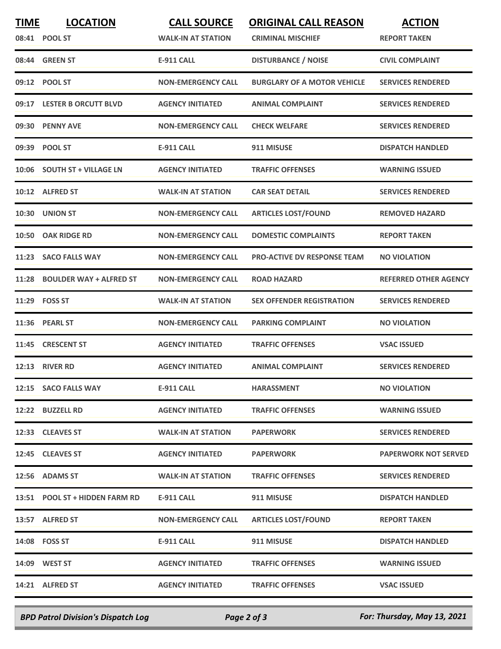| <b>TIME</b> | <b>LOCATION</b><br>08:41 POOL ST | <b>CALL SOURCE</b><br><b>WALK-IN AT STATION</b> | <b>ORIGINAL CALL REASON</b><br><b>CRIMINAL MISCHIEF</b> | <b>ACTION</b><br><b>REPORT TAKEN</b> |
|-------------|----------------------------------|-------------------------------------------------|---------------------------------------------------------|--------------------------------------|
|             | 08:44 GREEN ST                   | <b>E-911 CALL</b>                               | <b>DISTURBANCE / NOISE</b>                              | <b>CIVIL COMPLAINT</b>               |
| 09:12       | <b>POOL ST</b>                   | <b>NON-EMERGENCY CALL</b>                       | <b>BURGLARY OF A MOTOR VEHICLE</b>                      | <b>SERVICES RENDERED</b>             |
| 09:17       | <b>LESTER B ORCUTT BLVD</b>      | <b>AGENCY INITIATED</b>                         | <b>ANIMAL COMPLAINT</b>                                 | <b>SERVICES RENDERED</b>             |
| 09:30       | <b>PENNY AVE</b>                 | <b>NON-EMERGENCY CALL</b>                       | <b>CHECK WELFARE</b>                                    | <b>SERVICES RENDERED</b>             |
|             | 09:39 POOL ST                    | <b>E-911 CALL</b>                               | 911 MISUSE                                              | <b>DISPATCH HANDLED</b>              |
| 10:06       | <b>SOUTH ST + VILLAGE LN</b>     | <b>AGENCY INITIATED</b>                         | <b>TRAFFIC OFFENSES</b>                                 | <b>WARNING ISSUED</b>                |
|             | 10:12 ALFRED ST                  | <b>WALK-IN AT STATION</b>                       | <b>CAR SEAT DETAIL</b>                                  | <b>SERVICES RENDERED</b>             |
| 10:30       | <b>UNION ST</b>                  | <b>NON-EMERGENCY CALL</b>                       | <b>ARTICLES LOST/FOUND</b>                              | <b>REMOVED HAZARD</b>                |
| 10:50       | <b>OAK RIDGE RD</b>              | <b>NON-EMERGENCY CALL</b>                       | <b>DOMESTIC COMPLAINTS</b>                              | <b>REPORT TAKEN</b>                  |
| 11:23       | <b>SACO FALLS WAY</b>            | <b>NON-EMERGENCY CALL</b>                       | <b>PRO-ACTIVE DV RESPONSE TEAM</b>                      | <b>NO VIOLATION</b>                  |
| 11:28       | <b>BOULDER WAY + ALFRED ST</b>   | <b>NON-EMERGENCY CALL</b>                       | <b>ROAD HAZARD</b>                                      | <b>REFERRED OTHER AGENCY</b>         |
| 11:29       | <b>FOSS ST</b>                   | <b>WALK-IN AT STATION</b>                       | <b>SEX OFFENDER REGISTRATION</b>                        | <b>SERVICES RENDERED</b>             |
| 11:36       | <b>PEARL ST</b>                  | <b>NON-EMERGENCY CALL</b>                       | <b>PARKING COMPLAINT</b>                                | <b>NO VIOLATION</b>                  |
| 11:45       | <b>CRESCENT ST</b>               | <b>AGENCY INITIATED</b>                         | <b>TRAFFIC OFFENSES</b>                                 | <b>VSAC ISSUED</b>                   |
| 12:13       | <b>RIVER RD</b>                  | <b>AGENCY INITIATED</b>                         | <b>ANIMAL COMPLAINT</b>                                 | <b>SERVICES RENDERED</b>             |
|             | 12:15 SACO FALLS WAY             | <b>E-911 CALL</b>                               | <b>HARASSMENT</b>                                       | <b>NO VIOLATION</b>                  |
|             | 12:22 BUZZELL RD                 | <b>AGENCY INITIATED</b>                         | <b>TRAFFIC OFFENSES</b>                                 | <b>WARNING ISSUED</b>                |
|             | 12:33 CLEAVES ST                 | <b>WALK-IN AT STATION</b>                       | <b>PAPERWORK</b>                                        | <b>SERVICES RENDERED</b>             |
|             | 12:45 CLEAVES ST                 | <b>AGENCY INITIATED</b>                         | <b>PAPERWORK</b>                                        | <b>PAPERWORK NOT SERVED</b>          |
|             | 12:56 ADAMS ST                   | <b>WALK-IN AT STATION</b>                       | <b>TRAFFIC OFFENSES</b>                                 | <b>SERVICES RENDERED</b>             |
|             | 13:51 POOL ST + HIDDEN FARM RD   | E-911 CALL                                      | 911 MISUSE                                              | <b>DISPATCH HANDLED</b>              |
|             | 13:57 ALFRED ST                  | <b>NON-EMERGENCY CALL</b>                       | <b>ARTICLES LOST/FOUND</b>                              | <b>REPORT TAKEN</b>                  |
|             | 14:08 FOSS ST                    | <b>E-911 CALL</b>                               | 911 MISUSE                                              | <b>DISPATCH HANDLED</b>              |
|             | 14:09 WEST ST                    | <b>AGENCY INITIATED</b>                         | <b>TRAFFIC OFFENSES</b>                                 | <b>WARNING ISSUED</b>                |
|             | 14:21 ALFRED ST                  | <b>AGENCY INITIATED</b>                         | <b>TRAFFIC OFFENSES</b>                                 | <b>VSAC ISSUED</b>                   |
|             |                                  |                                                 |                                                         |                                      |

*BPD Patrol Division's Dispatch Log Page 2 of 3 For: Thursday, May 13, 2021*